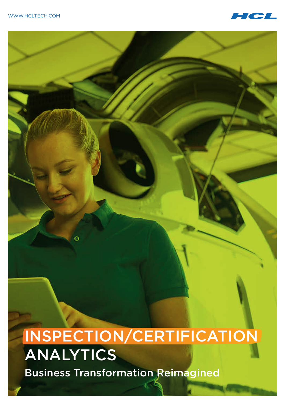

# Business Transformation Reimagined INSPECTION/CERTIFICATION **ANALYTICS**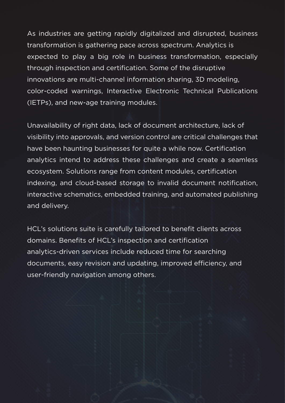As industries are getting rapidly digitalized and disrupted, business transformation is gathering pace across spectrum. Analytics is expected to play a big role in business transformation, especially through inspection and certification. Some of the disruptive innovations are multi-channel information sharing, 3D modeling, color-coded warnings, Interactive Electronic Technical Publications (IETPs), and new-age training modules.

Unavailability of right data, lack of document architecture, lack of visibility into approvals, and version control are critical challenges that have been haunting businesses for quite a while now. Certification analytics intend to address these challenges and create a seamless ecosystem. Solutions range from content modules, certification indexing, and cloud-based storage to invalid document notification, interactive schematics, embedded training, and automated publishing and delivery.

HCL's solutions suite is carefully tailored to benefit clients across domains. Benefits of HCL's inspection and certification analytics-driven services include reduced time for searching documents, easy revision and updating, improved efficiency, and user-friendly navigation among others.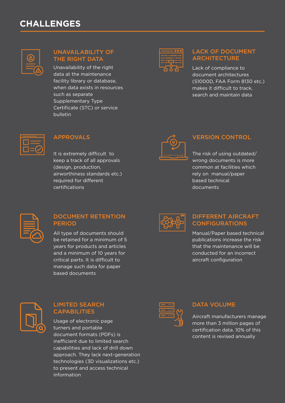# **CHALLENGES**



### UNAVAILABILITY OF THE RIGHT DATA

Unavailability of the right data at the maintenance facility library or database, when data exists in resources such as separate Supplementary Type Certificate (STC) or service bulletin



### LACK OF DOCUMENT **ARCHITECTURE**

Lack of compliance to document architectures (S1000D, FAA Form 8130 etc.) makes it difficult to track. search and maintain data



### APPROVALS

It is extremely difficult to keep a track of all approvals (design, production, airworthiness standards etc.) required for different certifications



### VERSION CONTROL

The risk of using outdated/ wrong documents is more common at facilities which rely on manual/paper based technical documents



### DOCUMENT RETENTION PERIOD

All type of documents should be retained for a minimum of 5 years for products and articles and a minimum of 10 years for critical parts. It is difficult to manage such data for paper based documents



#### DIFFERENT AIRCRAFT CONFIGURATIONS

Manual/Paper based technical publications increase the risk that the maintenance will be conducted for an incorrect aircraft configuration



### LIMITED SEARCH CAPABILITIES

Usage of electronic page turners and portable document formats (PDFs) is inefficient due to limited search capabilities and lack of drill down approach. They lack next-generation technologies (3D visualizations etc.) to present and access technical information



### DATA VOLUME

Aircraft manufacturers manage more than 3 million pages of certification data. 10% of this content is revised annually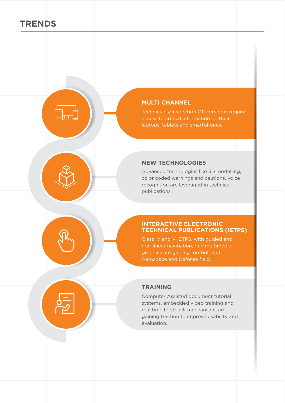# **TRENDS**

 $\Box$ 

### **MULTI CHANNEL**

Technicians/Inspection Officers now require access to critical information on their laptops, tablets and smartphones.

#### **NEW TECHNOLOGIES**

Advanced technologies like 3D modelling, color coded warnings and cautions, voice recognition are leveraged in technical publications.

#### **INTERACTIVE ELECTRONIC TECHNICAL PUBLICATIONS (IETPS)**

Class IV and V IETPS, with guided and non-linear navigation, rich multimedia graphics are gaining foothold in the Aerospace and Defense field.

### **TRAINING**

Computer Assisted document tutorial systems, embedded video training and real time feedback mechanisms are gaining traction to improve usability and evaluation.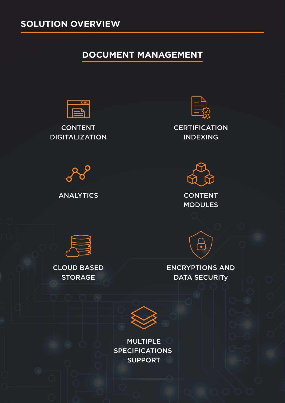# **DOCUMENT MANAGEMENT**



CONTENT DIGITALIZATION



**CERTIFICATION** INDEXING





MODULES



CLOUD BASED **STORAGE** 



ENCRYPTIONS AND DATA SECURITy



MULTIPLE SPECIFICATIONS SUPPORT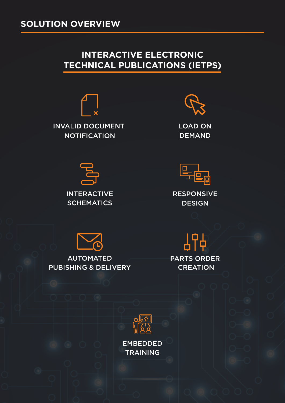# **INTERACTIVE ELECTRONIC TECHNICAL PUBLICATIONS (IETPS)**

INVALID DOCUMENT





LOAD ON DEMAND





**RESPONSIVE DESIGN** 



AUTOMATED PUBISHING & DELIVERY PARTS ORDER **CREATION** 

0 I



EMBEDDED TRAINING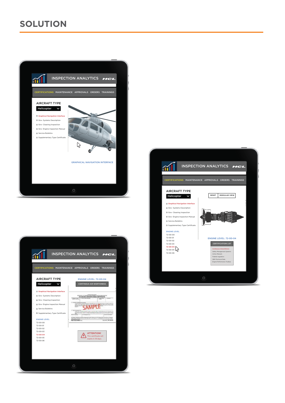# **SOLUTION**





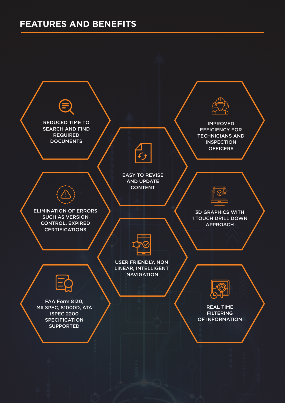